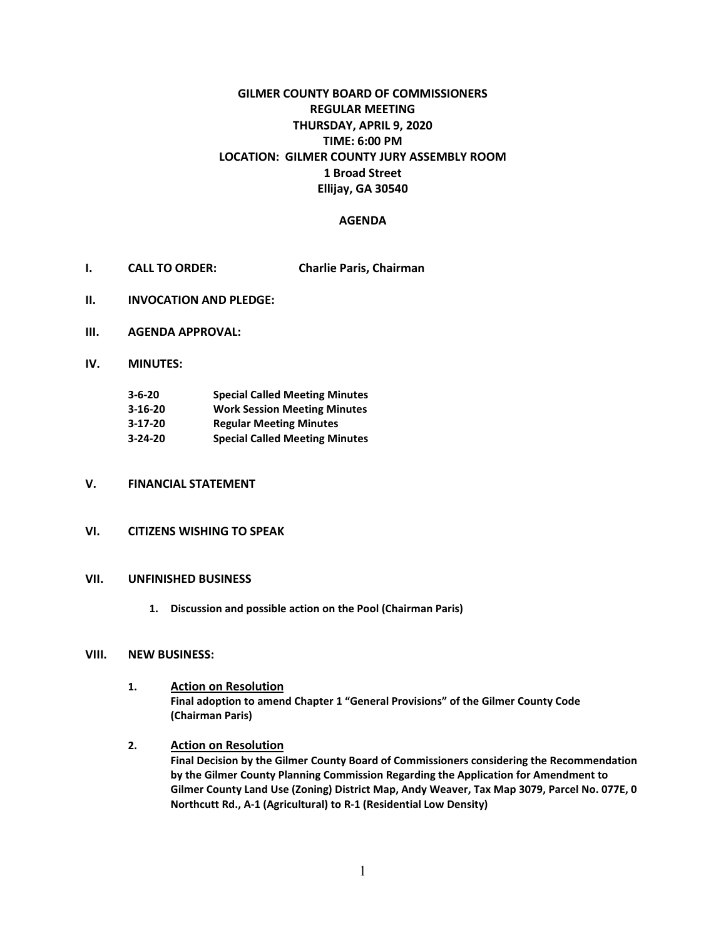# **GILMER COUNTY BOARD OF COMMISSIONERS REGULAR MEETING THURSDAY, APRIL 9, 2020 TIME: 6:00 PM LOCATION: GILMER COUNTY JURY ASSEMBLY ROOM 1 Broad Street Ellijay, GA 30540**

#### **AGENDA**

- **I. CALL TO ORDER: Charlie Paris, Chairman**
- **II. INVOCATION AND PLEDGE:**
- **III. AGENDA APPROVAL:**
- **IV. MINUTES:**

| $3 - 6 - 20$  | <b>Special Called Meeting Minutes</b> |
|---------------|---------------------------------------|
| $3 - 16 - 20$ | <b>Work Session Meeting Minutes</b>   |
| $3-17-20$     | <b>Regular Meeting Minutes</b>        |
| $3 - 24 - 20$ | <b>Special Called Meeting Minutes</b> |

### **V. FINANCIAL STATEMENT**

#### **VI. CITIZENS WISHING TO SPEAK**

#### **VII. UNFINISHED BUSINESS**

**1. Discussion and possible action on the Pool (Chairman Paris)**

#### **VIII. NEW BUSINESS:**

- **1. Action on Resolution Final adoption to amend Chapter 1 "General Provisions" of the Gilmer County Code (Chairman Paris)**
- **2. Action on Resolution Final Decision by the Gilmer County Board of Commissioners considering the Recommendation by the Gilmer County Planning Commission Regarding the Application for Amendment to Gilmer County Land Use (Zoning) District Map, Andy Weaver, Tax Map 3079, Parcel No. 077E, 0 Northcutt Rd., A-1 (Agricultural) to R-1 (Residential Low Density)**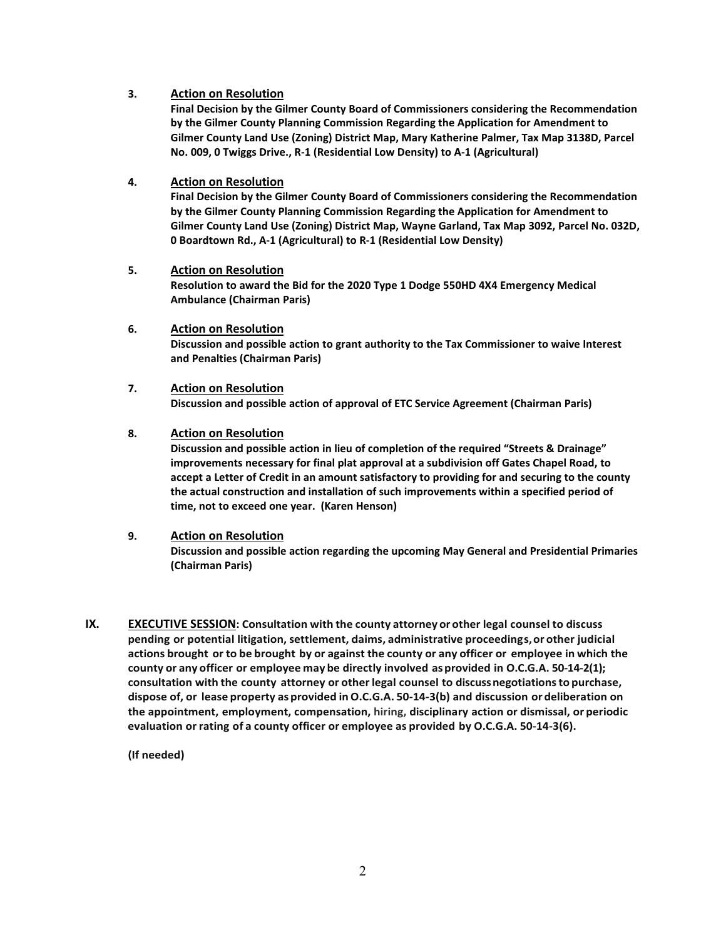### **3. Action on Resolution**

**Final Decision by the Gilmer County Board of Commissioners considering the Recommendation by the Gilmer County Planning Commission Regarding the Application for Amendment to Gilmer County Land Use (Zoning) District Map, Mary Katherine Palmer, Tax Map 3138D, Parcel No. 009, 0 Twiggs Drive., R-1 (Residential Low Density) to A-1 (Agricultural)**

### **4. Action on Resolution**

**Final Decision by the Gilmer County Board of Commissioners considering the Recommendation by the Gilmer County Planning Commission Regarding the Application for Amendment to Gilmer County Land Use (Zoning) District Map, Wayne Garland, Tax Map 3092, Parcel No. 032D, 0 Boardtown Rd., A-1 (Agricultural) to R-1 (Residential Low Density)**

## **5. Action on Resolution Resolution to award the Bid for the 2020 Type 1 Dodge 550HD 4X4 Emergency Medical Ambulance (Chairman Paris)**

- **6. Action on Resolution Discussion and possible action to grant authority to the Tax Commissioner to waive Interest and Penalties (Chairman Paris)**
- **7. Action on Resolution Discussion and possible action of approval of ETC Service Agreement (Chairman Paris)**

#### **8. Action on Resolution**

**Discussion and possible action in lieu of completion of the required "Streets & Drainage" improvements necessary for final plat approval at a subdivision off Gates Chapel Road, to accept a Letter of Credit in an amount satisfactory to providing for and securing to the county the actual construction and installation of such improvements within a specified period of time, not to exceed one year. (Karen Henson)**

#### **9. Action on Resolution**

**Discussion and possible action regarding the upcoming May General and Presidential Primaries (Chairman Paris)**

**IX. EXECUTIVE SESSION: Consultation with the county attorney or other legal counsel to discuss pending or potential litigation, settlement, claims, administrative proceedings,or other judicial actions brought or to be brought by or against the county or any officer or employee in which the county or any officer or employee may be directly involved asprovided in O.C.G.A. 50-14-2(1); consultation with the county attorney or otherlegal counsel to discussnegotiationsto purchase, dispose of, or lease property asprovided inO.C.G.A. 50-14-3(b) and discussion or deliberation on the appointment, employment, compensation, hiring, disciplinary action or dismissal, or periodic evaluation orrating of a county officer or employee as provided by O.C.G.A. 50-14-3(6).**

**(If needed)**